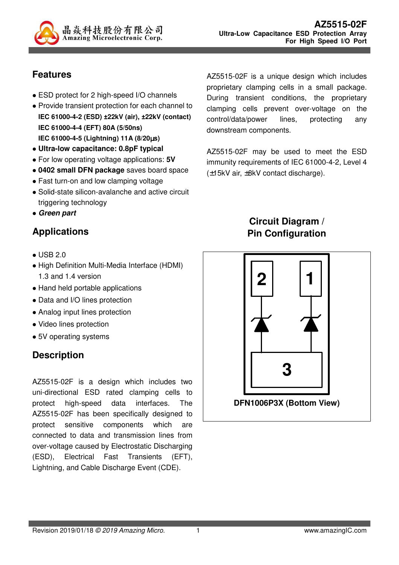

# **Features**

- ESD protect for 2 high-speed I/O channels
- Provide transient protection for each channel to **IEC 61000-4-2 (ESD) ±22kV (air), ±22kV (contact) IEC 61000-4-4 (EFT) 80A (5/50ns) IEC 61000-4-5 (Lightning) 11A (8/20**µ**s)**
- **Ultra-low capacitance: 0.8pF typical**
- For low operating voltage applications: **5V**
- **0402 small DFN package** saves board space
- Fast turn-on and low clamping voltage
- Solid-state silicon-avalanche and active circuit triggering technology
- **Green part**

# **Applications**

- USB 2.0
- High Definition Multi-Media Interface (HDMI) 1.3 and 1.4 version
- Hand held portable applications
- Data and I/O lines protection
- Analog input lines protection
- Video lines protection
- 5V operating systems

# **Description**

AZ5515-02F is a design which includes two uni-directional ESD rated clamping cells to protect high-speed data interfaces. The AZ5515-02F has been specifically designed to protect sensitive components which are connected to data and transmission lines from over-voltage caused by Electrostatic Discharging (ESD), Electrical Fast Transients (EFT), Lightning, and Cable Discharge Event (CDE).

AZ5515-02F is a unique design which includes proprietary clamping cells in a small package. During transient conditions, the proprietary clamping cells prevent over-voltage on the control/data/power lines, protecting any downstream components.

AZ5515-02F may be used to meet the ESD immunity requirements of IEC 61000-4-2, Level 4 (±15kV air, ±8kV contact discharge).

# **Circuit Diagram / Pin Configuration**

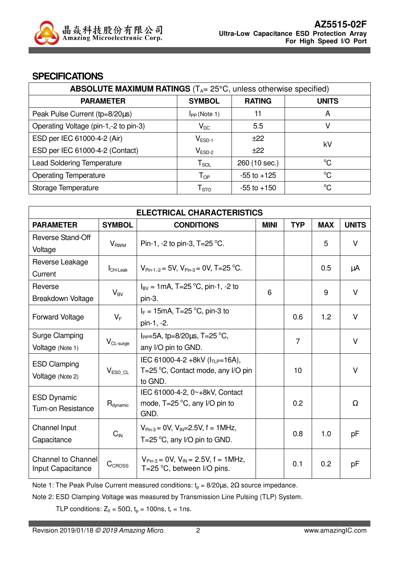

### **SPECIFICATIONS**

| <b>ABSOLUTE MAXIMUM RATINGS</b> ( $T_A$ = 25 $\degree$ C, unless otherwise specified) |                            |                 |              |  |
|---------------------------------------------------------------------------------------|----------------------------|-----------------|--------------|--|
| <b>PARAMETER</b>                                                                      | <b>SYMBOL</b>              | <b>RATING</b>   | <b>UNITS</b> |  |
| Peak Pulse Current (tp=8/20µs)                                                        | $I_{PP}$ (Note 1)          | 11              | A            |  |
| Operating Voltage (pin-1,-2 to pin-3)                                                 | $V_{DC}$                   | 5.5             | V            |  |
| ESD per IEC 61000-4-2 (Air)                                                           | $V_{ESD-1}$                | ±22             | kV           |  |
| ESD per IEC 61000-4-2 (Contact)                                                       | $V_{ESD-2}$                | ±22             |              |  |
| <b>Lead Soldering Temperature</b>                                                     | ${\sf T}_{\sf SOL}$        | 260 (10 sec.)   | $^{\circ}C$  |  |
| <b>Operating Temperature</b>                                                          | $\mathsf{T}_{\mathsf{OP}}$ | $-55$ to $+125$ | $^{\circ}C$  |  |
| Storage Temperature                                                                   | $\mathsf{T}_{\text{STO}}$  | $-55$ to $+150$ | $^{\circ}C$  |  |

| <b>ELECTRICAL CHARACTERISTICS</b>                        |                             |                                                                           |             |                |            |              |
|----------------------------------------------------------|-----------------------------|---------------------------------------------------------------------------|-------------|----------------|------------|--------------|
| <b>PARAMETER</b>                                         | <b>SYMBOL</b>               | <b>CONDITIONS</b>                                                         | <b>MINI</b> | <b>TYP</b>     | <b>MAX</b> | <b>UNITS</b> |
| Reverse Stand-Off                                        |                             |                                                                           |             |                | 5          | V            |
| Voltage                                                  | <b>V</b> <sub>RWM</sub>     | Pin-1, -2 to pin-3, $T = 25$ °C.                                          |             |                |            |              |
| Reverse Leakage                                          |                             |                                                                           |             |                | 0.5        |              |
| Current                                                  | $I_{CH\text{-}\text{Leak}}$ | $V_{\text{Pin-1-2}} = 5V$ , $V_{\text{Pin-3}} = 0V$ , T=25 °C.            |             |                |            | μA           |
| Reverse                                                  | $V_{\text{BV}}$             | $I_{\text{BV}} = 1 \text{mA}$ , T=25 °C, pin-1, -2 to                     | 6           |                | 9          | $\vee$       |
| Breakdown Voltage                                        |                             | pin-3.                                                                    |             |                |            |              |
| <b>Forward Voltage</b><br>$V_{F}$                        |                             | $I_F = 15 \text{mA}$ , T=25 °C, pin-3 to                                  |             | 0.6            | 1.2        | V            |
|                                                          |                             | pin-1, -2.                                                                |             |                |            |              |
| Surge Clamping                                           |                             | $I_{PP}$ =5A, tp=8/20 $\mu$ s, T=25 °C,                                   |             | $\overline{7}$ |            | V            |
| Voltage (Note 1)                                         | $V_{CL-surae}$              | any I/O pin to GND.                                                       |             |                |            |              |
| <b>ESD Clamping</b>                                      |                             | IEC 61000-4-2 +8kV (ITLP=16A),                                            |             |                |            |              |
| Voltage (Note 2)                                         | $V_{ESD\_CL}$               | T=25 $\mathrm{^{\circ}C}$ , Contact mode, any I/O pin                     |             | 10             |            | $\vee$       |
|                                                          |                             | to GND.                                                                   |             |                |            |              |
| <b>ESD Dynamic</b>                                       |                             | IEC 61000-4-2, 0~+8kV, Contact<br>mode, $T=25\text{ °C}$ , any I/O pin to |             | 0.2            |            | $\Omega$     |
| $R_{\text{dynamic}}$<br><b>Turn-on Resistance</b>        |                             | GND.                                                                      |             |                |            |              |
| Channel Input                                            |                             | $V_{Pin-3} = 0V$ , $V_{IN} = 2.5V$ , f = 1MHz,                            |             |                |            |              |
| Capacitance                                              | $C_{\text{IN}}$             | T=25 $\mathrm{^{\circ}C}$ , any I/O pin to GND.                           |             | 0.8            | 1.0        | pF           |
|                                                          |                             |                                                                           |             |                |            |              |
| <b>Channel to Channel</b><br>CCROSS<br>Input Capacitance |                             | $V_{\text{Pin-3}} = 0V$ , $V_{\text{IN}} = 2.5V$ , f = 1MHz,              |             | 0.1            | 0.2        | рF           |
|                                                          |                             | T=25 $\mathrm{^{\circ}C}$ , between I/O pins.                             |             |                |            |              |

Note 1: The Peak Pulse Current measured conditions:  $t_p = 8/20 \mu s$ ,  $2\Omega$  source impedance.

Note 2: ESD Clamping Voltage was measured by Transmission Line Pulsing (TLP) System.

TLP conditions:  $Z_0 = 50\Omega$ ,  $t_p = 100$ ns,  $t_r = 1$ ns.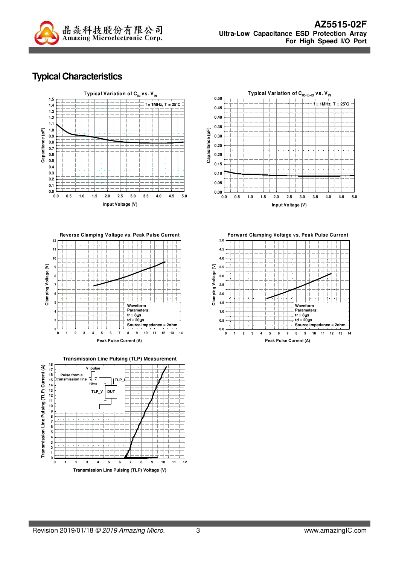

### **Typical Characteristics**



**Transmission Line Pulsing (TLP) Measurement**





**Forward Clamping Voltage vs. Peak Pulse Current**

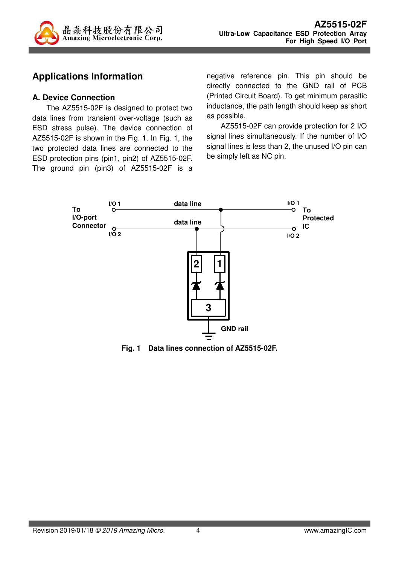

### **Applications Information**

#### **A. Device Connection**

The AZ5515-02F is designed to protect two data lines from transient over-voltage (such as ESD stress pulse). The device connection of AZ5515-02F is shown in the Fig. 1. In Fig. 1, the two protected data lines are connected to the ESD protection pins (pin1, pin2) of AZ5515-02F. The ground pin (pin3) of AZ5515-02F is a negative reference pin. This pin should be directly connected to the GND rail of PCB (Printed Circuit Board). To get minimum parasitic inductance, the path length should keep as short as possible.

AZ5515-02F can provide protection for 2 I/O signal lines simultaneously. If the number of I/O signal lines is less than 2, the unused I/O pin can be simply left as NC pin.



**Fig. 1 Data lines connection of AZ5515-02F.**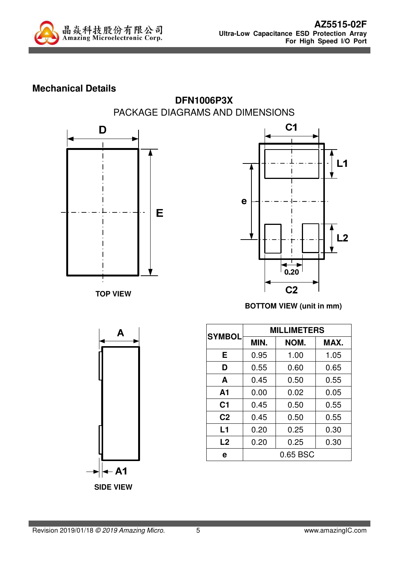

# **Mechanical Details**







**TOP VIEW** 

**BOTTOM VIEW (unit in mm)** 



**SIDE VIEW** 

| <b>SYMBOL</b>  | <b>MILLIMETERS</b> |      |      |  |
|----------------|--------------------|------|------|--|
|                | MIN.               | NOM. | MAX. |  |
| Е              | 0.95               | 1.00 | 1.05 |  |
| D              | 0.55               | 0.60 | 0.65 |  |
| A              | 0.45               | 0.50 | 0.55 |  |
| A1             | 0.00               | 0.02 | 0.05 |  |
| C <sub>1</sub> | 0.45               | 0.50 | 0.55 |  |
| C <sub>2</sub> | 0.45               | 0.50 | 0.55 |  |
| L1             | 0.20               | 0.25 | 0.30 |  |
| L <sub>2</sub> | 0.20               | 0.25 | 0.30 |  |
| е              | 0.65 BSC           |      |      |  |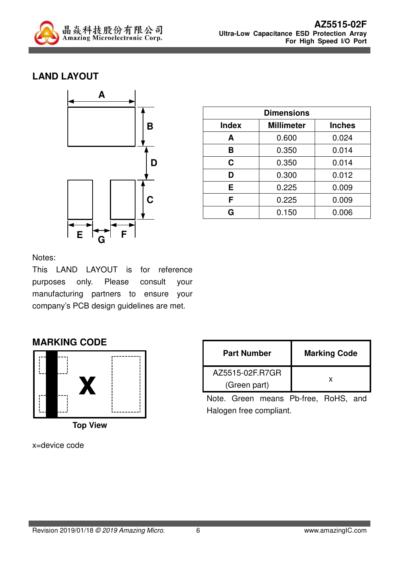

# **LAND LAYOUT**



| <b>Dimensions</b> |                   |               |  |
|-------------------|-------------------|---------------|--|
| <b>Index</b>      | <b>Millimeter</b> | <b>Inches</b> |  |
| A                 | 0.600             | 0.024         |  |
| B                 | 0.350             | 0.014         |  |
| C                 | 0.350             | 0.014         |  |
| D                 | 0.300             | 0.012         |  |
| Е                 | 0.225             | 0.009         |  |
| F                 | 0.225             | 0.009         |  |
| G                 | 0.150             | 0.006         |  |

Notes:

This LAND LAYOUT is for reference purposes only. Please consult your manufacturing partners to ensure your company's PCB design guidelines are met.

### **MARKING CODE**



x=device code

| <b>Part Number</b> | <b>Marking Code</b> |  |
|--------------------|---------------------|--|
| AZ5515-02F.R7GR    |                     |  |
| (Green part)       |                     |  |

Note. Green means Pb-free, RoHS, and Halogen free compliant.